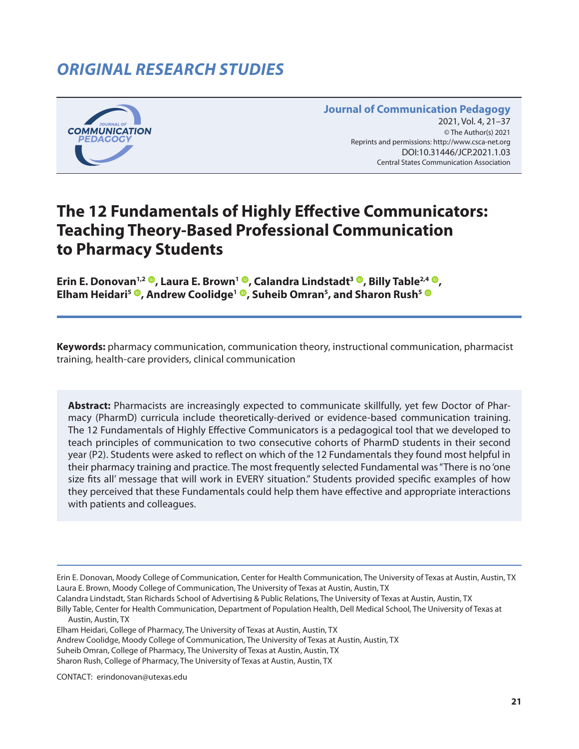# *ORIGINAL RESEARCH STUDIES*



#### **Journal of Communication Pedagogy** 2021, Vol. 4, 21-37 © The Author(s) 2021 Reprints and permissions: <http://www.csca-net.org> 2021, Vol. 4, 21–372021Reprints and permissions:<http://www.csca-net.org> DOI:10.31446/JCP.2021.1.03 Central States Communication Association Central States Communication Association

# **The 12 Fundamentals of Highly Effective Communicators: Teaching Theory-Based Professional Communication to Pharmacy Students**

**Erin E. Donovan<sup>1[,](https://orcid.org/0000-0003-4609-6354)2</sup> <sup>(0</sup>), Laura E. Brown<sup>1</sup> <sup>(0</sup>), Calandra Lindstadt<sup>3</sup> <sup>(0</sup>), Billy Table<sup>2,4</sup> <sup>(0</sup>), Elham Heidari5 [,](https://orcid.org/0000-0003-2966-2799) Andrew Coolidge1 [,](https://orcid.org/0000-0003-0016-7612) Suheib Omran5 , and Sharon Rush5**

**Keywords:** pharmacy communication, communication theory, instructional communication, pharmacist training, health-care providers, clinical communication

**Abstract:** Pharmacists are increasingly expected to communicate skillfully, yet few Doctor of Pharmacy (PharmD) curricula include theoretically-derived or evidence-based communication training. The 12 Fundamentals of Highly Effective Communicators is a pedagogical tool that we developed to teach principles of communication to two consecutive cohorts of PharmD students in their second year (P2). Students were asked to reflect on which of the 12 Fundamentals they found most helpful in their pharmacy training and practice. The most frequently selected Fundamental was "There is no 'one size fits all' message that will work in EVERY situation." Students provided specific examples of how they perceived that these Fundamentals could help them have effective and appropriate interactions with patients and colleagues.

Andrew Coolidge, Moody College of Communication, The University of Texas at Austin, Austin, TX

Suheib Omran, College of Pharmacy, The University of Texas at Austin, Austin, TX

Sharon Rush, College of Pharmacy, The University of Texas at Austin, Austin, TX

CONTACT: erindonovan@utexas.edu

Erin E. Donovan, Moody College of Communication, Center for Health Communication, The University of Texas at Austin, Austin, TX Laura E. Brown, Moody College of Communication, The University of Texas at Austin, Austin, TX

Calandra Lindstadt, Stan Richards School of Advertising & Public Relations, The University of Texas at Austin, Austin, TX

Billy Table, Center for Health Communication, Department of Population Health, Dell Medical School, The University of Texas at Austin, Austin, TX

Elham Heidari, College of Pharmacy, The University of Texas at Austin, Austin, TX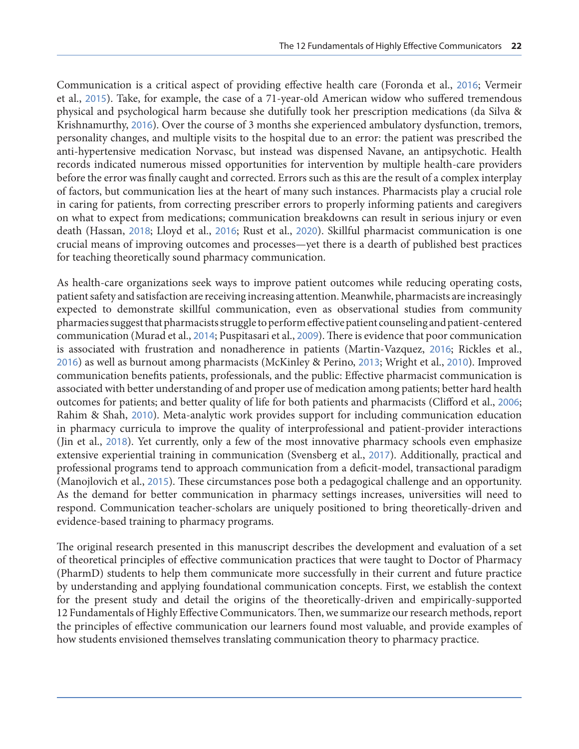Communication is a critical aspect of providing effective health care (Foronda et al., [2016](#page-14-0); Vermeir et al., [2015](#page-16-0)). Take, for example, the case of a 71-year-old American widow who suffered tremendous physical and psychological harm because she dutifully took her prescription medications (da Silva & Krishnamurthy, [2016](#page-14-0)). Over the course of 3 months she experienced ambulatory dysfunction, tremors, personality changes, and multiple visits to the hospital due to an error: the patient was prescribed the anti-hypertensive medication Norvasc, but instead was dispensed Navane, an antipsychotic. Health records indicated numerous missed opportunities for intervention by multiple health-care providers before the error was finally caught and corrected. Errors such as this are the result of a complex interplay of factors, but communication lies at the heart of many such instances. Pharmacists play a crucial role in caring for patients, from correcting prescriber errors to properly informing patients and caregivers on what to expect from medications; communication breakdowns can result in serious injury or even death (Hassan, [2018](#page-15-0); Lloyd et al., [2016](#page-15-0); Rust et al., [2020](#page-15-0)). Skillful pharmacist communication is one crucial means of improving outcomes and processes—yet there is a dearth of published best practices for teaching theoretically sound pharmacy communication.

As health-care organizations seek ways to improve patient outcomes while reducing operating costs, patient safety and satisfaction are receiving increasing attention. Meanwhile, pharmacists are increasingly expected to demonstrate skillful communication, even as observational studies from community pharmacies suggest that pharmacists struggle to perform effective patient counseling and patient-centered communication (Murad et al., [2014](#page-15-0); Puspitasari et al., [2009](#page-15-0)). There is evidence that poor communication is associated with frustration and nonadherence in patients (Martin-Vazquez, [2016](#page-15-0); Rickles et al., [2016](#page-15-0)) as well as burnout among pharmacists (McKinley & Perino, [2013](#page-15-0); Wright et al., [2010](#page-16-0)). Improved communication benefits patients, professionals, and the public: Effective pharmacist communication is associated with better understanding of and proper use of medication among patients; better hard health outcomes for patients; and better quality of life for both patients and pharmacists (Clifford et al., [2006](#page-14-0); Rahim & Shah, [2010](#page-14-0)). Meta-analytic work provides support for including communication education in pharmacy curricula to improve the quality of interprofessional and patient-provider interactions (Jin et al., [2018](#page-14-0)). Yet currently, only a few of the most innovative pharmacy schools even emphasize extensive experiential training in communication (Svensberg et al., [2017](#page-15-0)). Additionally, practical and professional programs tend to approach communication from a deficit-model, transactional paradigm (Manojlovich et al., [2015](#page-14-0)). These circumstances pose both a pedagogical challenge and an opportunity. As the demand for better communication in pharmacy settings increases, universities will need to respond. Communication teacher-scholars are uniquely positioned to bring theoretically-driven and evidence-based training to pharmacy programs.

The original research presented in this manuscript describes the development and evaluation of a set of theoretical principles of effective communication practices that were taught to Doctor of Pharmacy (PharmD) students to help them communicate more successfully in their current and future practice by understanding and applying foundational communication concepts. First, we establish the context for the present study and detail the origins of the theoretically-driven and empirically-supported 12 Fundamentals of Highly Effective Communicators. Then, we summarize our research methods, report the principles of effective communication our learners found most valuable, and provide examples of how students envisioned themselves translating communication theory to pharmacy practice.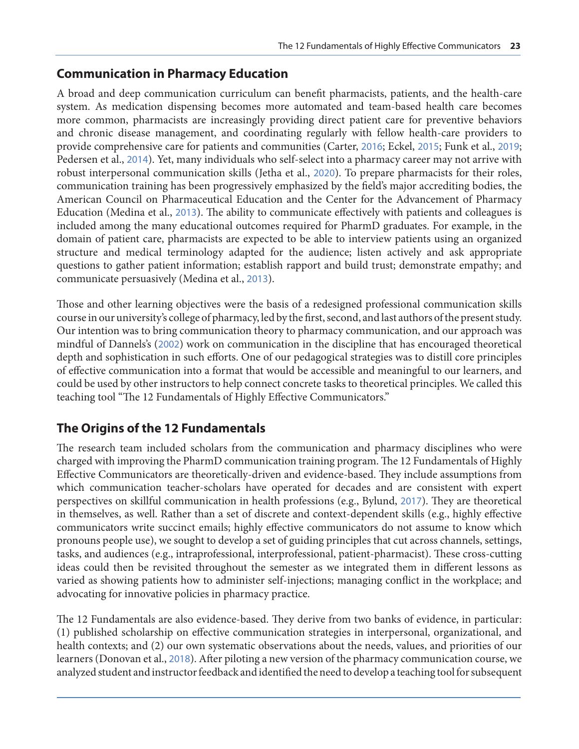#### **Communication in Pharmacy Education**

A broad and deep communication curriculum can benefit pharmacists, patients, and the health-care system. As medication dispensing becomes more automated and team-based health care becomes more common, pharmacists are increasingly providing direct patient care for preventive behaviors and chronic disease management, and coordinating regularly with fellow health-care providers to provide comprehensive care for patients and communities (Carter, [2016](#page-14-0); Eckel, [2015](#page-14-0); Funk et al., [2019](#page-14-0); Pedersen et al., [2014](#page-15-0)). Yet, many individuals who self-select into a pharmacy career may not arrive with robust interpersonal communication skills (Jetha et al., [2020](#page-15-0)). To prepare pharmacists for their roles, communication training has been progressively emphasized by the field's major accrediting bodies, the American Council on Pharmaceutical Education and the Center for the Advancement of Pharmacy Education (Medina et al., [2013](#page-15-0)). The ability to communicate effectively with patients and colleagues is included among the many educational outcomes required for PharmD graduates. For example, in the domain of patient care, pharmacists are expected to be able to interview patients using an organized structure and medical terminology adapted for the audience; listen actively and ask appropriate questions to gather patient information; establish rapport and build trust; demonstrate empathy; and communicate persuasively (Medina et al., [2013](#page-15-0)).

Those and other learning objectives were the basis of a redesigned professional communication skills course in our university's college of pharmacy, led by the first, second, and last authors of the present study. Our intention was to bring communication theory to pharmacy communication, and our approach was mindful of Dannels's ([2002](#page-14-0)) work on communication in the discipline that has encouraged theoretical depth and sophistication in such efforts. One of our pedagogical strategies was to distill core principles of effective communication into a format that would be accessible and meaningful to our learners, and could be used by other instructors to help connect concrete tasks to theoretical principles. We called this teaching tool "The 12 Fundamentals of Highly Effective Communicators."

#### **The Origins of the 12 Fundamentals**

The research team included scholars from the communication and pharmacy disciplines who were charged with improving the PharmD communication training program. The 12 Fundamentals of Highly Effective Communicators are theoretically-driven and evidence-based. They include assumptions from which communication teacher-scholars have operated for decades and are consistent with expert perspectives on skillful communication in health professions (e.g., Bylund, [2017](#page-14-0)). They are theoretical in themselves, as well. Rather than a set of discrete and context-dependent skills (e.g., highly effective communicators write succinct emails; highly effective communicators do not assume to know which pronouns people use), we sought to develop a set of guiding principles that cut across channels, settings, tasks, and audiences (e.g., intraprofessional, interprofessional, patient-pharmacist). These cross-cutting ideas could then be revisited throughout the semester as we integrated them in different lessons as varied as showing patients how to administer self-injections; managing conflict in the workplace; and advocating for innovative policies in pharmacy practice.

The 12 Fundamentals are also evidence-based. They derive from two banks of evidence, in particular: (1) published scholarship on effective communication strategies in interpersonal, organizational, and health contexts; and (2) our own systematic observations about the needs, values, and priorities of our learners (Donovan et al., [2018](#page-14-0)). After piloting a new version of the pharmacy communication course, we analyzed student and instructor feedback and identified the need to develop a teaching tool for subsequent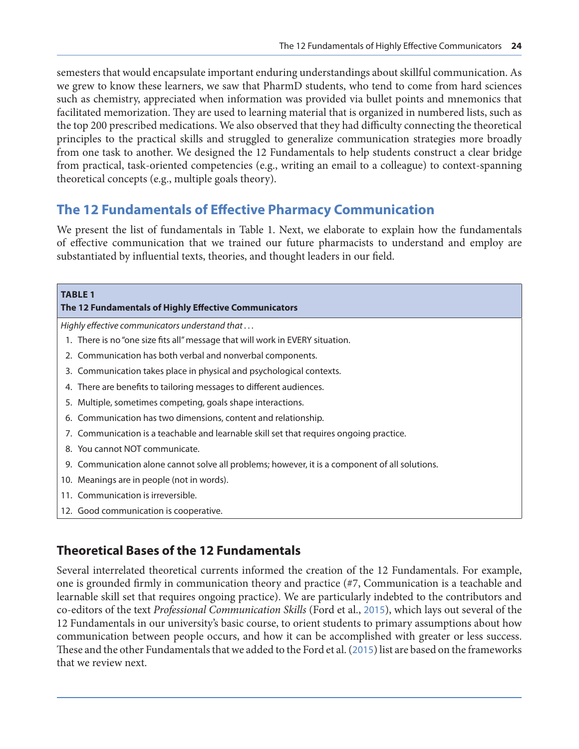semesters that would encapsulate important enduring understandings about skillful communication. As we grew to know these learners, we saw that PharmD students, who tend to come from hard sciences such as chemistry, appreciated when information was provided via bullet points and mnemonics that facilitated memorization. They are used to learning material that is organized in numbered lists, such as the top 200 prescribed medications. We also observed that they had difficulty connecting the theoretical principles to the practical skills and struggled to generalize communication strategies more broadly from one task to another. We designed the 12 Fundamentals to help students construct a clear bridge from practical, task-oriented competencies (e.g., writing an email to a colleague) to context-spanning theoretical concepts (e.g., multiple goals theory).

## **The 12 Fundamentals of Effective Pharmacy Communication**

We present the list of fundamentals in Table 1. Next, we elaborate to explain how the fundamentals of effective communication that we trained our future pharmacists to understand and employ are substantiated by influential texts, theories, and thought leaders in our field.

| <b>TABLE 1</b><br>The 12 Fundamentals of Highly Effective Communicators                        |
|------------------------------------------------------------------------------------------------|
| Highly effective communicators understand that                                                 |
| 1. There is no "one size fits all" message that will work in EVERY situation.                  |
| 2. Communication has both verbal and nonverbal components.                                     |
| 3. Communication takes place in physical and psychological contexts.                           |
| 4. There are benefits to tailoring messages to different audiences.                            |
| Multiple, sometimes competing, goals shape interactions.<br>5.                                 |
| 6. Communication has two dimensions, content and relationship.                                 |
| 7. Communication is a teachable and learnable skill set that requires ongoing practice.        |
| You cannot NOT communicate.<br>8.                                                              |
| 9. Communication alone cannot solve all problems; however, it is a component of all solutions. |
| 10. Meanings are in people (not in words).                                                     |
| 11. Communication is irreversible.                                                             |
| 12. Good communication is cooperative.                                                         |

## **Theoretical Bases of the 12 Fundamentals**

Several interrelated theoretical currents informed the creation of the 12 Fundamentals. For example, one is grounded firmly in communication theory and practice (#7, Communication is a teachable and learnable skill set that requires ongoing practice). We are particularly indebted to the contributors and co-editors of the text *Professional Communication Skills* (Ford et al., [2015](#page-14-0)), which lays out several of the 12 Fundamentals in our university's basic course, to orient students to primary assumptions about how communication between people occurs, and how it can be accomplished with greater or less success. These and the other Fundamentals that we added to the Ford et al. ([2015](#page-14-0)) list are based on the frameworks that we review next.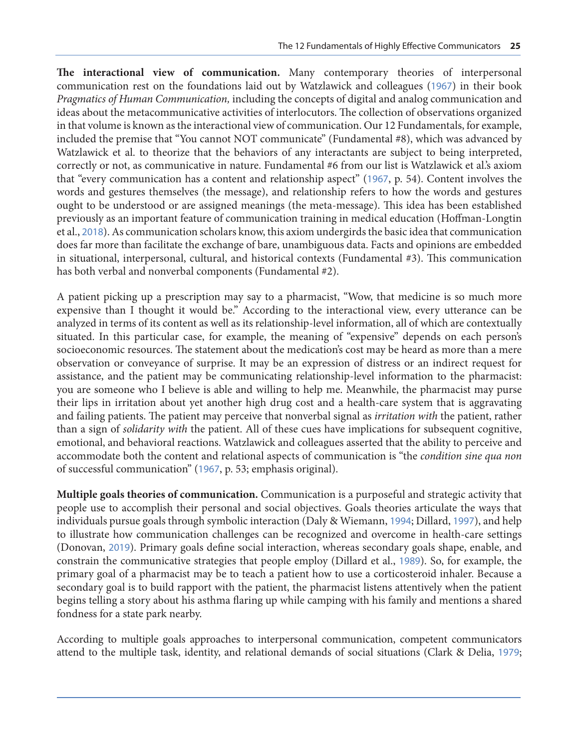**The interactional view of communication.** Many contemporary theories of interpersonal communication rest on the foundations laid out by Watzlawick and colleagues ([1967](#page-16-0)) in their book *Pragmatics of Human Communication,* including the concepts of digital and analog communication and ideas about the metacommunicative activities of interlocutors. The collection of observations organized in that volume is known as the interactional view of communication. Our 12 Fundamentals, for example, included the premise that "You cannot NOT communicate" (Fundamental #8), which was advanced by Watzlawick et al. to theorize that the behaviors of any interactants are subject to being interpreted, correctly or not, as communicative in nature. Fundamental #6 from our list is Watzlawick et al.'s axiom that "every communication has a content and relationship aspect" ([1967](#page-16-0), p. 54). Content involves the words and gestures themselves (the message), and relationship refers to how the words and gestures ought to be understood or are assigned meanings (the meta-message). This idea has been established previously as an important feature of communication training in medical education (Hoffman-Longtin et al., [2018](#page-15-0)). As communication scholars know, this axiom undergirds the basic idea that communication does far more than facilitate the exchange of bare, unambiguous data. Facts and opinions are embedded in situational, interpersonal, cultural, and historical contexts (Fundamental #3). This communication has both verbal and nonverbal components (Fundamental #2).

A patient picking up a prescription may say to a pharmacist, "Wow, that medicine is so much more expensive than I thought it would be." According to the interactional view, every utterance can be analyzed in terms of its content as well as its relationship-level information, all of which are contextually situated. In this particular case, for example, the meaning of "expensive" depends on each person's socioeconomic resources. The statement about the medication's cost may be heard as more than a mere observation or conveyance of surprise. It may be an expression of distress or an indirect request for assistance, and the patient may be communicating relationship-level information to the pharmacist: you are someone who I believe is able and willing to help me. Meanwhile, the pharmacist may purse their lips in irritation about yet another high drug cost and a health-care system that is aggravating and failing patients. The patient may perceive that nonverbal signal as *irritation with* the patient, rather than a sign of *solidarity with* the patient. All of these cues have implications for subsequent cognitive, emotional, and behavioral reactions. Watzlawick and colleagues asserted that the ability to perceive and accommodate both the content and relational aspects of communication is "the *condition sine qua non*  of successful communication" ([1967](#page-16-0), p. 53; emphasis original).

**Multiple goals theories of communication.** Communication is a purposeful and strategic activity that people use to accomplish their personal and social objectives. Goals theories articulate the ways that individuals pursue goals through symbolic interaction (Daly & Wiemann, [1994](#page-14-0); Dillard, [1997](#page-14-0)), and help to illustrate how communication challenges can be recognized and overcome in health-care settings (Donovan, [2019](#page-14-0)). Primary goals define social interaction, whereas secondary goals shape, enable, and constrain the communicative strategies that people employ (Dillard et al., [1989](#page-14-0)). So, for example, the primary goal of a pharmacist may be to teach a patient how to use a corticosteroid inhaler. Because a secondary goal is to build rapport with the patient, the pharmacist listens attentively when the patient begins telling a story about his asthma flaring up while camping with his family and mentions a shared fondness for a state park nearby.

According to multiple goals approaches to interpersonal communication, competent communicators attend to the multiple task, identity, and relational demands of social situations (Clark & Delia, [1979](#page-14-0);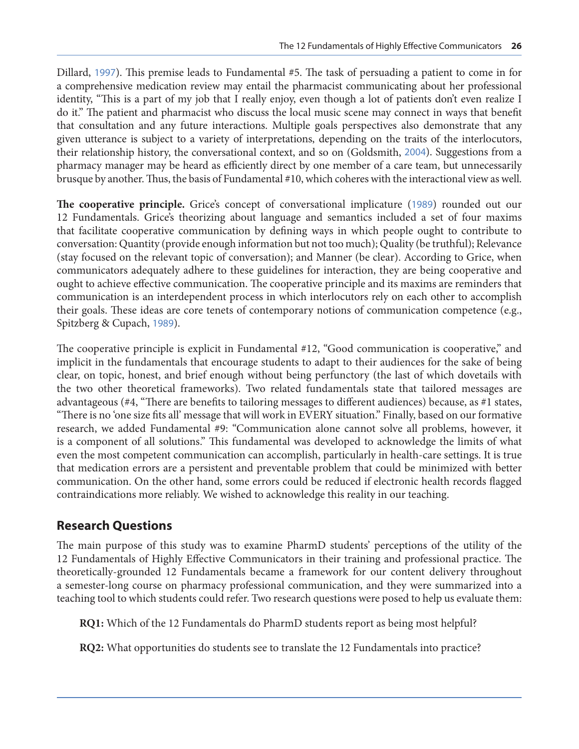Dillard, [1997](#page-14-0)). This premise leads to Fundamental #5. The task of persuading a patient to come in for a comprehensive medication review may entail the pharmacist communicating about her professional identity, "This is a part of my job that I really enjoy, even though a lot of patients don't even realize I do it." The patient and pharmacist who discuss the local music scene may connect in ways that benefit that consultation and any future interactions. Multiple goals perspectives also demonstrate that any given utterance is subject to a variety of interpretations, depending on the traits of the interlocutors, their relationship history, the conversational context, and so on (Goldsmith, [2004](#page-14-0)). Suggestions from a pharmacy manager may be heard as efficiently direct by one member of a care team, but unnecessarily brusque by another. Thus, the basis of Fundamental #10, which coheres with the interactional view as well.

**The cooperative principle.** Grice's concept of conversational implicature ([1989](#page-14-0)) rounded out our 12 Fundamentals. Grice's theorizing about language and semantics included a set of four maxims that facilitate cooperative communication by defining ways in which people ought to contribute to conversation: Quantity (provide enough information but not too much); Quality (be truthful); Relevance (stay focused on the relevant topic of conversation); and Manner (be clear). According to Grice, when communicators adequately adhere to these guidelines for interaction, they are being cooperative and ought to achieve effective communication. The cooperative principle and its maxims are reminders that communication is an interdependent process in which interlocutors rely on each other to accomplish their goals. These ideas are core tenets of contemporary notions of communication competence (e.g., Spitzberg & Cupach, [1989](#page-16-0)).

The cooperative principle is explicit in Fundamental #12, "Good communication is cooperative," and implicit in the fundamentals that encourage students to adapt to their audiences for the sake of being clear, on topic, honest, and brief enough without being perfunctory (the last of which dovetails with the two other theoretical frameworks). Two related fundamentals state that tailored messages are advantageous (#4, "There are benefits to tailoring messages to different audiences) because, as #1 states, "There is no 'one size fits all' message that will work in EVERY situation." Finally, based on our formative research, we added Fundamental #9: "Communication alone cannot solve all problems, however, it is a component of all solutions." This fundamental was developed to acknowledge the limits of what even the most competent communication can accomplish, particularly in health-care settings. It is true that medication errors are a persistent and preventable problem that could be minimized with better communication. On the other hand, some errors could be reduced if electronic health records flagged contraindications more reliably. We wished to acknowledge this reality in our teaching.

#### **Research Questions**

The main purpose of this study was to examine PharmD students' perceptions of the utility of the 12 Fundamentals of Highly Effective Communicators in their training and professional practice. The theoretically-grounded 12 Fundamentals became a framework for our content delivery throughout a semester-long course on pharmacy professional communication, and they were summarized into a teaching tool to which students could refer. Two research questions were posed to help us evaluate them:

**RQ1:** Which of the 12 Fundamentals do PharmD students report as being most helpful?

**RQ2:** What opportunities do students see to translate the 12 Fundamentals into practice?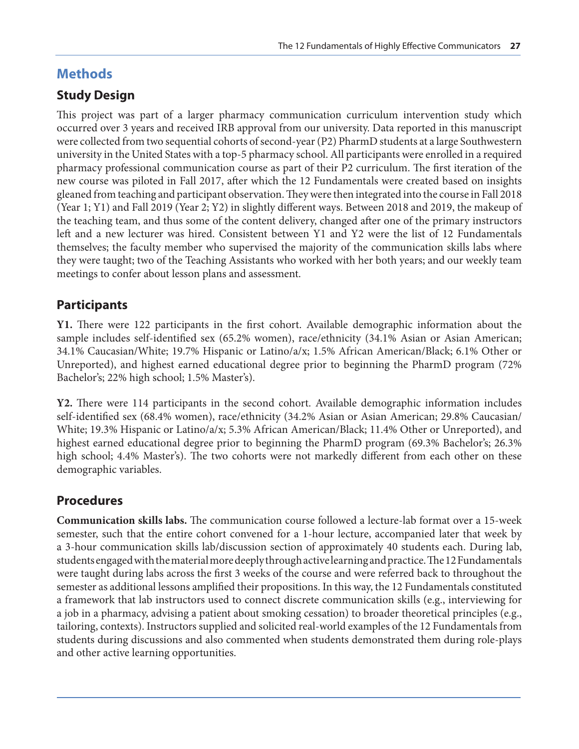# **Methods**

# **Study Design**

This project was part of a larger pharmacy communication curriculum intervention study which occurred over 3 years and received IRB approval from our university. Data reported in this manuscript were collected from two sequential cohorts of second-year (P2) PharmD students at a large Southwestern university in the United States with a top-5 pharmacy school. All participants were enrolled in a required pharmacy professional communication course as part of their P2 curriculum. The first iteration of the new course was piloted in Fall 2017, after which the 12 Fundamentals were created based on insights gleaned from teaching and participant observation. They were then integrated into the course in Fall 2018 (Year 1; Y1) and Fall 2019 (Year 2; Y2) in slightly different ways. Between 2018 and 2019, the makeup of the teaching team, and thus some of the content delivery, changed after one of the primary instructors left and a new lecturer was hired. Consistent between Y1 and Y2 were the list of 12 Fundamentals themselves; the faculty member who supervised the majority of the communication skills labs where they were taught; two of the Teaching Assistants who worked with her both years; and our weekly team meetings to confer about lesson plans and assessment.

# **Participants**

**Y1.** There were 122 participants in the first cohort. Available demographic information about the sample includes self-identified sex (65.2% women), race/ethnicity (34.1% Asian or Asian American; 34.1% Caucasian/White; 19.7% Hispanic or Latino/a/x; 1.5% African American/Black; 6.1% Other or Unreported), and highest earned educational degree prior to beginning the PharmD program (72% Bachelor's; 22% high school; 1.5% Master's).

**Y2.** There were 114 participants in the second cohort. Available demographic information includes self-identified sex (68.4% women), race/ethnicity (34.2% Asian or Asian American; 29.8% Caucasian/ White; 19.3% Hispanic or Latino/a/x; 5.3% African American/Black; 11.4% Other or Unreported), and highest earned educational degree prior to beginning the PharmD program (69.3% Bachelor's; 26.3% high school; 4.4% Master's). The two cohorts were not markedly different from each other on these demographic variables.

## **Procedures**

**Communication skills labs.** The communication course followed a lecture-lab format over a 15-week semester, such that the entire cohort convened for a 1-hour lecture, accompanied later that week by a 3-hour communication skills lab/discussion section of approximately 40 students each. During lab, students engaged with the material more deeply through active learning and practice. The 12 Fundamentals were taught during labs across the first 3 weeks of the course and were referred back to throughout the semester as additional lessons amplified their propositions. In this way, the 12 Fundamentals constituted a framework that lab instructors used to connect discrete communication skills (e.g., interviewing for a job in a pharmacy, advising a patient about smoking cessation) to broader theoretical principles (e.g., tailoring, contexts). Instructors supplied and solicited real-world examples of the 12 Fundamentals from students during discussions and also commented when students demonstrated them during role-plays and other active learning opportunities.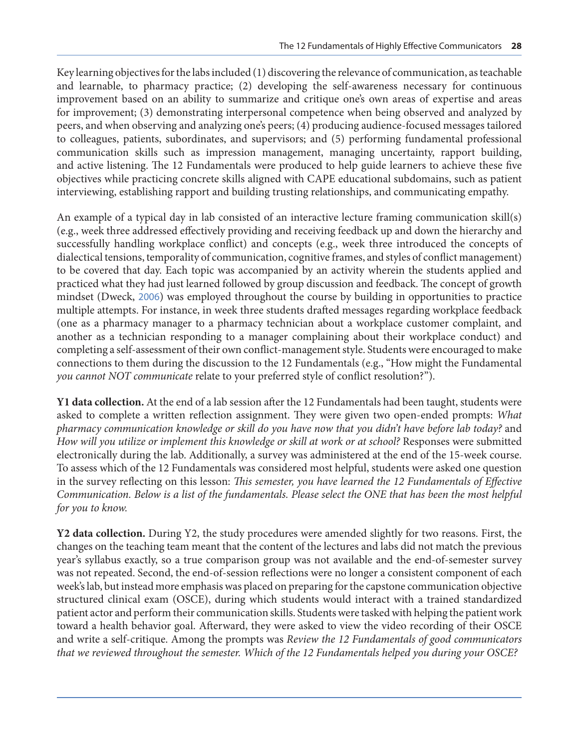Key learning objectives for the labs included (1) discovering the relevance of communication, as teachable and learnable, to pharmacy practice; (2) developing the self-awareness necessary for continuous improvement based on an ability to summarize and critique one's own areas of expertise and areas for improvement; (3) demonstrating interpersonal competence when being observed and analyzed by peers, and when observing and analyzing one's peers; (4) producing audience-focused messages tailored to colleagues, patients, subordinates, and supervisors; and (5) performing fundamental professional communication skills such as impression management, managing uncertainty, rapport building, and active listening. The 12 Fundamentals were produced to help guide learners to achieve these five objectives while practicing concrete skills aligned with CAPE educational subdomains, such as patient interviewing, establishing rapport and building trusting relationships, and communicating empathy.

An example of a typical day in lab consisted of an interactive lecture framing communication skill(s) (e.g., week three addressed effectively providing and receiving feedback up and down the hierarchy and successfully handling workplace conflict) and concepts (e.g., week three introduced the concepts of dialectical tensions, temporality of communication, cognitive frames, and styles of conflict management) to be covered that day. Each topic was accompanied by an activity wherein the students applied and practiced what they had just learned followed by group discussion and feedback. The concept of growth mindset (Dweck, [2006](#page-14-0)) was employed throughout the course by building in opportunities to practice multiple attempts. For instance, in week three students drafted messages regarding workplace feedback (one as a pharmacy manager to a pharmacy technician about a workplace customer complaint, and another as a technician responding to a manager complaining about their workplace conduct) and completing a self-assessment of their own conflict-management style. Students were encouraged to make connections to them during the discussion to the 12 Fundamentals (e.g., "How might the Fundamental *you cannot NOT communicate* relate to your preferred style of conflict resolution?").

**Y1 data collection.** At the end of a lab session after the 12 Fundamentals had been taught, students were asked to complete a written reflection assignment. They were given two open-ended prompts: *What pharmacy communication knowledge or skill do you have now that you didn't have before lab today?* and *How will you utilize or implement this knowledge or skill at work or at school?* Responses were submitted electronically during the lab. Additionally, a survey was administered at the end of the 15-week course. To assess which of the 12 Fundamentals was considered most helpful, students were asked one question in the survey reflecting on this lesson: *This semester, you have learned the 12 Fundamentals of Effective Communication. Below is a list of the fundamentals. Please select the ONE that has been the most helpful for you to know.*

**Y2 data collection.** During Y2, the study procedures were amended slightly for two reasons. First, the changes on the teaching team meant that the content of the lectures and labs did not match the previous year's syllabus exactly, so a true comparison group was not available and the end-of-semester survey was not repeated. Second, the end-of-session reflections were no longer a consistent component of each week's lab, but instead more emphasis was placed on preparing for the capstone communication objective structured clinical exam (OSCE), during which students would interact with a trained standardized patient actor and perform their communication skills. Students were tasked with helping the patient work toward a health behavior goal. Afterward, they were asked to view the video recording of their OSCE and write a self-critique. Among the prompts was *Review the 12 Fundamentals of good communicators that we reviewed throughout the semester. Which of the 12 Fundamentals helped you during your OSCE?*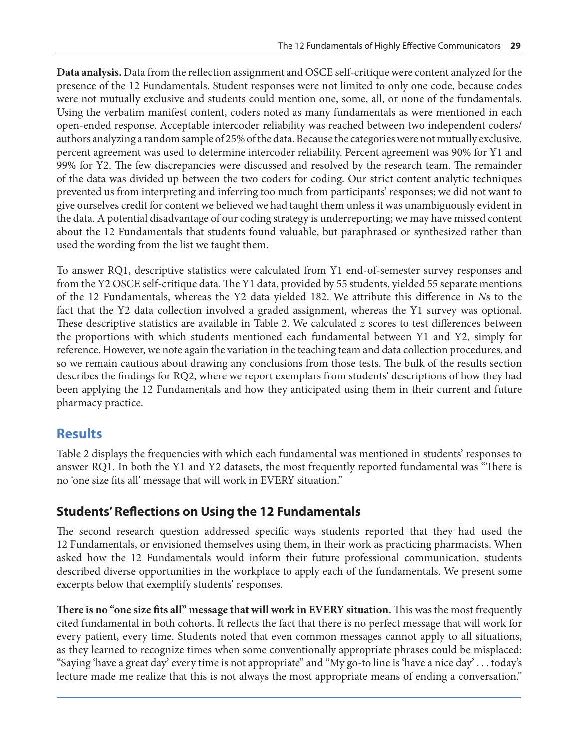**Data analysis.** Data from the reflection assignment and OSCE self-critique were content analyzed for the presence of the 12 Fundamentals. Student responses were not limited to only one code, because codes were not mutually exclusive and students could mention one, some, all, or none of the fundamentals. Using the verbatim manifest content, coders noted as many fundamentals as were mentioned in each open-ended response. Acceptable intercoder reliability was reached between two independent coders/ authors analyzing a random sample of 25% of the data. Because the categories were not mutually exclusive, percent agreement was used to determine intercoder reliability. Percent agreement was 90% for Y1 and 99% for Y2. The few discrepancies were discussed and resolved by the research team. The remainder of the data was divided up between the two coders for coding. Our strict content analytic techniques prevented us from interpreting and inferring too much from participants' responses; we did not want to give ourselves credit for content we believed we had taught them unless it was unambiguously evident in the data. A potential disadvantage of our coding strategy is underreporting; we may have missed content about the 12 Fundamentals that students found valuable, but paraphrased or synthesized rather than used the wording from the list we taught them.

To answer RQ1, descriptive statistics were calculated from Y1 end-of-semester survey responses and from the Y2 OSCE self-critique data. The Y1 data, provided by 55 students, yielded 55 separate mentions of the 12 Fundamentals, whereas the Y2 data yielded 182. We attribute this difference in *N*s to the fact that the Y2 data collection involved a graded assignment, whereas the Y1 survey was optional. These descriptive statistics are available in Table 2. We calculated *z* scores to test differences between the proportions with which students mentioned each fundamental between Y1 and Y2, simply for reference. However, we note again the variation in the teaching team and data collection procedures, and so we remain cautious about drawing any conclusions from those tests. The bulk of the results section describes the findings for RQ2, where we report exemplars from students' descriptions of how they had been applying the 12 Fundamentals and how they anticipated using them in their current and future pharmacy practice.

## **Results**

Table 2 displays the frequencies with which each fundamental was mentioned in students' responses to answer RQ1. In both the Y1 and Y2 datasets, the most frequently reported fundamental was "There is no 'one size fits all' message that will work in EVERY situation."

## **Students' Reflections on Using the 12 Fundamentals**

The second research question addressed specific ways students reported that they had used the 12 Fundamentals, or envisioned themselves using them, in their work as practicing pharmacists. When asked how the 12 Fundamentals would inform their future professional communication, students described diverse opportunities in the workplace to apply each of the fundamentals. We present some excerpts below that exemplify students' responses.

**There is no "one size fits all" message that will work in EVERY situation.** This was the most frequently cited fundamental in both cohorts. It reflects the fact that there is no perfect message that will work for every patient, every time. Students noted that even common messages cannot apply to all situations, as they learned to recognize times when some conventionally appropriate phrases could be misplaced: "Saying 'have a great day' every time is not appropriate" and "My go-to line is 'have a nice day' . . . today's lecture made me realize that this is not always the most appropriate means of ending a conversation."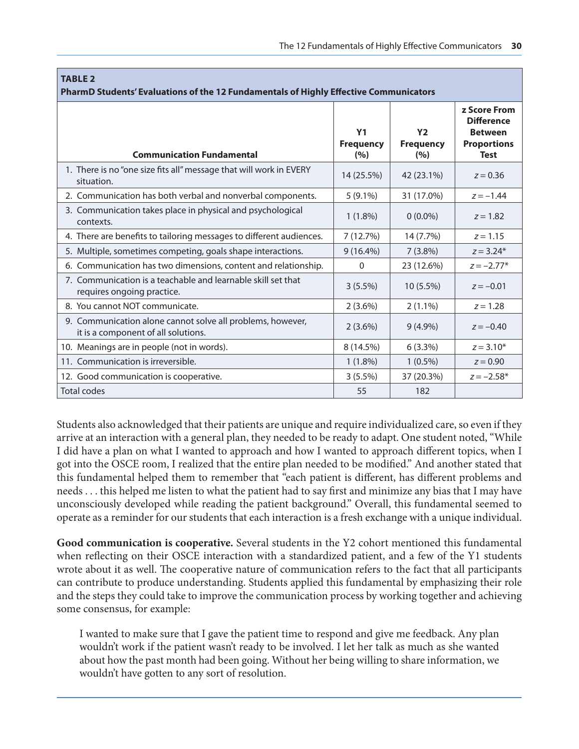| <b>TABLE 2</b><br>PharmD Students' Evaluations of the 12 Fundamentals of Highly Effective Communicators |                                           |                                           |                                                                                                 |  |
|---------------------------------------------------------------------------------------------------------|-------------------------------------------|-------------------------------------------|-------------------------------------------------------------------------------------------------|--|
| <b>Communication Fundamental</b>                                                                        | Y <sub>1</sub><br><b>Frequency</b><br>(%) | Y <sub>2</sub><br><b>Frequency</b><br>(%) | <b>z Score From</b><br><b>Difference</b><br><b>Between</b><br><b>Proportions</b><br><b>Test</b> |  |
| 1. There is no "one size fits all" message that will work in EVERY<br>situation.                        | 14 (25.5%)                                | 42 (23.1%)                                | $z = 0.36$                                                                                      |  |
| 2. Communication has both verbal and nonverbal components.                                              | $5(9.1\%)$                                | 31 (17.0%)                                | $z = -1.44$                                                                                     |  |
| 3. Communication takes place in physical and psychological<br>contexts.                                 | $1(1.8\%)$                                | $0(0.0\%)$                                | $z = 1.82$                                                                                      |  |
| 4. There are benefits to tailoring messages to different audiences.                                     | 7(12.7%)                                  | 14 (7.7%)                                 | $z = 1.15$                                                                                      |  |
| 5. Multiple, sometimes competing, goals shape interactions.                                             | $9(16.4\%)$                               | $7(3.8\%)$                                | $z = 3.24*$                                                                                     |  |
| 6. Communication has two dimensions, content and relationship.                                          | $\mathbf{0}$                              | 23 (12.6%)                                | $z = -2.77*$                                                                                    |  |
| 7. Communication is a teachable and learnable skill set that<br>requires ongoing practice.              | $3(5.5\%)$                                | $10(5.5\%)$                               | $z = -0.01$                                                                                     |  |
| 8. You cannot NOT communicate.                                                                          | $2(3.6\%)$                                | $2(1.1\%)$                                | $z = 1.28$                                                                                      |  |
| 9. Communication alone cannot solve all problems, however,<br>it is a component of all solutions.       | $2(3.6\%)$                                | $9(4.9\%)$                                | $z = -0.40$                                                                                     |  |
| 10. Meanings are in people (not in words).                                                              | 8 (14.5%)                                 | $6(3.3\%)$                                | $z = 3.10*$                                                                                     |  |
| 11. Communication is irreversible.                                                                      | $1(1.8\%)$                                | $1(0.5\%)$                                | $z = 0.90$                                                                                      |  |
| 12. Good communication is cooperative.                                                                  | $3(5.5\%)$                                | 37 (20.3%)                                | $z = -2.58*$                                                                                    |  |
| <b>Total codes</b>                                                                                      | 55                                        | 182                                       |                                                                                                 |  |

Students also acknowledged that their patients are unique and require individualized care, so even if they arrive at an interaction with a general plan, they needed to be ready to adapt. One student noted, "While I did have a plan on what I wanted to approach and how I wanted to approach different topics, when I got into the OSCE room, I realized that the entire plan needed to be modified." And another stated that this fundamental helped them to remember that "each patient is different, has different problems and needs . . . this helped me listen to what the patient had to say first and minimize any bias that I may have unconsciously developed while reading the patient background." Overall, this fundamental seemed to operate as a reminder for our students that each interaction is a fresh exchange with a unique individual.

**Good communication is cooperative.** Several students in the Y2 cohort mentioned this fundamental when reflecting on their OSCE interaction with a standardized patient, and a few of the Y1 students wrote about it as well. The cooperative nature of communication refers to the fact that all participants can contribute to produce understanding. Students applied this fundamental by emphasizing their role and the steps they could take to improve the communication process by working together and achieving some consensus, for example:

I wanted to make sure that I gave the patient time to respond and give me feedback. Any plan wouldn't work if the patient wasn't ready to be involved. I let her talk as much as she wanted about how the past month had been going. Without her being willing to share information, we wouldn't have gotten to any sort of resolution.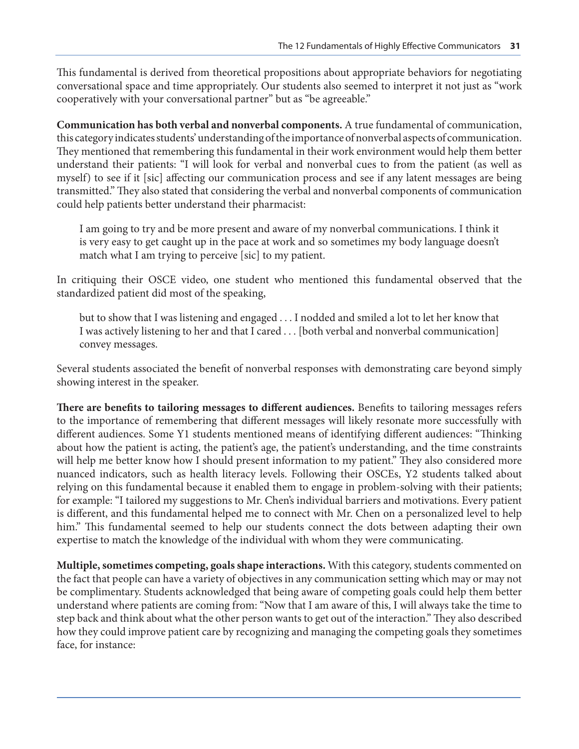This fundamental is derived from theoretical propositions about appropriate behaviors for negotiating conversational space and time appropriately. Our students also seemed to interpret it not just as "work cooperatively with your conversational partner" but as "be agreeable."

**Communication has both verbal and nonverbal components.** A true fundamental of communication, this category indicates students' understanding of the importance of nonverbal aspects of communication. They mentioned that remembering this fundamental in their work environment would help them better understand their patients: "I will look for verbal and nonverbal cues to from the patient (as well as myself) to see if it [sic] affecting our communication process and see if any latent messages are being transmitted." They also stated that considering the verbal and nonverbal components of communication could help patients better understand their pharmacist:

I am going to try and be more present and aware of my nonverbal communications. I think it is very easy to get caught up in the pace at work and so sometimes my body language doesn't match what I am trying to perceive [sic] to my patient.

In critiquing their OSCE video, one student who mentioned this fundamental observed that the standardized patient did most of the speaking,

but to show that I was listening and engaged . . . I nodded and smiled a lot to let her know that I was actively listening to her and that I cared . . . [both verbal and nonverbal communication] convey messages.

Several students associated the benefit of nonverbal responses with demonstrating care beyond simply showing interest in the speaker.

**There are benefits to tailoring messages to different audiences.** Benefits to tailoring messages refers to the importance of remembering that different messages will likely resonate more successfully with different audiences. Some Y1 students mentioned means of identifying different audiences: "Thinking about how the patient is acting, the patient's age, the patient's understanding, and the time constraints will help me better know how I should present information to my patient." They also considered more nuanced indicators, such as health literacy levels. Following their OSCEs, Y2 students talked about relying on this fundamental because it enabled them to engage in problem-solving with their patients; for example: "I tailored my suggestions to Mr. Chen's individual barriers and motivations. Every patient is different, and this fundamental helped me to connect with Mr. Chen on a personalized level to help him." This fundamental seemed to help our students connect the dots between adapting their own expertise to match the knowledge of the individual with whom they were communicating.

**Multiple, sometimes competing, goals shape interactions.** With this category, students commented on the fact that people can have a variety of objectives in any communication setting which may or may not be complimentary. Students acknowledged that being aware of competing goals could help them better understand where patients are coming from: "Now that I am aware of this, I will always take the time to step back and think about what the other person wants to get out of the interaction." They also described how they could improve patient care by recognizing and managing the competing goals they sometimes face, for instance: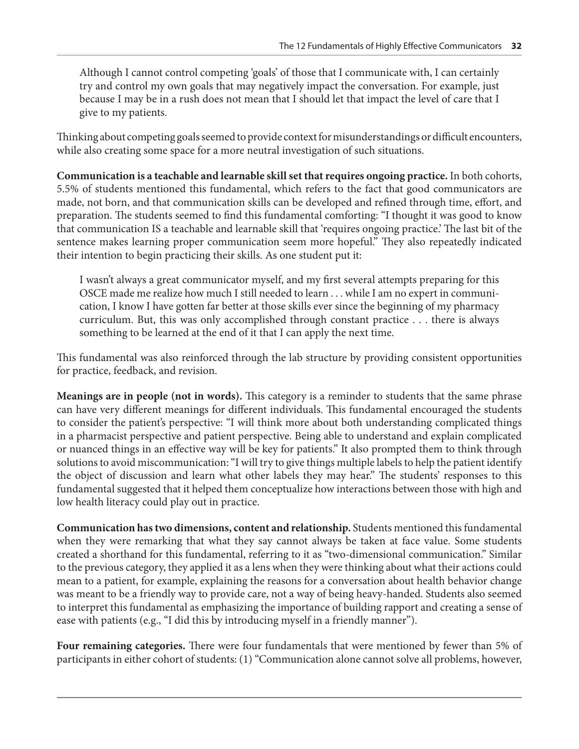Although I cannot control competing 'goals' of those that I communicate with, I can certainly try and control my own goals that may negatively impact the conversation. For example, just because I may be in a rush does not mean that I should let that impact the level of care that I give to my patients.

Thinking about competing goals seemed to provide context for misunderstandings or difficult encounters, while also creating some space for a more neutral investigation of such situations.

**Communication is a teachable and learnable skill set that requires ongoing practice.** In both cohorts, 5.5% of students mentioned this fundamental, which refers to the fact that good communicators are made, not born, and that communication skills can be developed and refined through time, effort, and preparation. The students seemed to find this fundamental comforting: "I thought it was good to know that communication IS a teachable and learnable skill that 'requires ongoing practice.' The last bit of the sentence makes learning proper communication seem more hopeful." They also repeatedly indicated their intention to begin practicing their skills. As one student put it:

I wasn't always a great communicator myself, and my first several attempts preparing for this OSCE made me realize how much I still needed to learn . . . while I am no expert in communication, I know I have gotten far better at those skills ever since the beginning of my pharmacy curriculum. But, this was only accomplished through constant practice . . . there is always something to be learned at the end of it that I can apply the next time.

This fundamental was also reinforced through the lab structure by providing consistent opportunities for practice, feedback, and revision.

**Meanings are in people (not in words).** This category is a reminder to students that the same phrase can have very different meanings for different individuals. This fundamental encouraged the students to consider the patient's perspective: "I will think more about both understanding complicated things in a pharmacist perspective and patient perspective. Being able to understand and explain complicated or nuanced things in an effective way will be key for patients." It also prompted them to think through solutions to avoid miscommunication: "I will try to give things multiple labels to help the patient identify the object of discussion and learn what other labels they may hear." The students' responses to this fundamental suggested that it helped them conceptualize how interactions between those with high and low health literacy could play out in practice.

**Communication has two dimensions, content and relationship.** Students mentioned this fundamental when they were remarking that what they say cannot always be taken at face value. Some students created a shorthand for this fundamental, referring to it as "two-dimensional communication." Similar to the previous category, they applied it as a lens when they were thinking about what their actions could mean to a patient, for example, explaining the reasons for a conversation about health behavior change was meant to be a friendly way to provide care, not a way of being heavy-handed. Students also seemed to interpret this fundamental as emphasizing the importance of building rapport and creating a sense of ease with patients (e.g., "I did this by introducing myself in a friendly manner").

**Four remaining categories.** There were four fundamentals that were mentioned by fewer than 5% of participants in either cohort of students: (1) "Communication alone cannot solve all problems, however,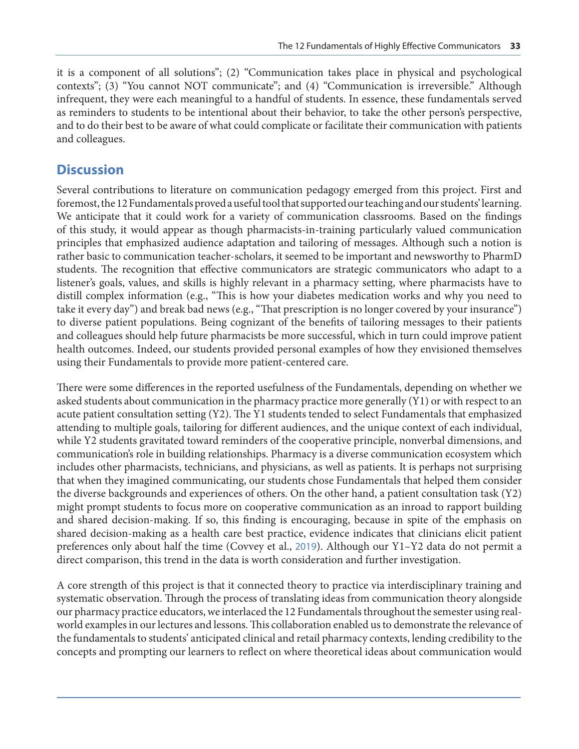it is a component of all solutions"; (2) "Communication takes place in physical and psychological contexts"; (3) "You cannot NOT communicate"; and (4) "Communication is irreversible." Although infrequent, they were each meaningful to a handful of students. In essence, these fundamentals served as reminders to students to be intentional about their behavior, to take the other person's perspective, and to do their best to be aware of what could complicate or facilitate their communication with patients and colleagues.

#### **Discussion**

Several contributions to literature on communication pedagogy emerged from this project. First and foremost, the 12 Fundamentals proved a useful tool that supported our teaching and our students' learning. We anticipate that it could work for a variety of communication classrooms. Based on the findings of this study, it would appear as though pharmacists-in-training particularly valued communication principles that emphasized audience adaptation and tailoring of messages. Although such a notion is rather basic to communication teacher-scholars, it seemed to be important and newsworthy to PharmD students. The recognition that effective communicators are strategic communicators who adapt to a listener's goals, values, and skills is highly relevant in a pharmacy setting, where pharmacists have to distill complex information (e.g., "This is how your diabetes medication works and why you need to take it every day") and break bad news (e.g., "That prescription is no longer covered by your insurance") to diverse patient populations. Being cognizant of the benefits of tailoring messages to their patients and colleagues should help future pharmacists be more successful, which in turn could improve patient health outcomes. Indeed, our students provided personal examples of how they envisioned themselves using their Fundamentals to provide more patient-centered care.

There were some differences in the reported usefulness of the Fundamentals, depending on whether we asked students about communication in the pharmacy practice more generally (Y1) or with respect to an acute patient consultation setting (Y2). The Y1 students tended to select Fundamentals that emphasized attending to multiple goals, tailoring for different audiences, and the unique context of each individual, while Y2 students gravitated toward reminders of the cooperative principle, nonverbal dimensions, and communication's role in building relationships. Pharmacy is a diverse communication ecosystem which includes other pharmacists, technicians, and physicians, as well as patients. It is perhaps not surprising that when they imagined communicating, our students chose Fundamentals that helped them consider the diverse backgrounds and experiences of others. On the other hand, a patient consultation task (Y2) might prompt students to focus more on cooperative communication as an inroad to rapport building and shared decision-making. If so, this finding is encouraging, because in spite of the emphasis on shared decision-making as a health care best practice, evidence indicates that clinicians elicit patient preferences only about half the time (Covvey et al., [2019](#page-14-0)). Although our Y1–Y2 data do not permit a direct comparison, this trend in the data is worth consideration and further investigation.

A core strength of this project is that it connected theory to practice via interdisciplinary training and systematic observation. Through the process of translating ideas from communication theory alongside our pharmacy practice educators, we interlaced the 12 Fundamentals throughout the semester using realworld examples in our lectures and lessons. This collaboration enabled us to demonstrate the relevance of the fundamentals to students' anticipated clinical and retail pharmacy contexts, lending credibility to the concepts and prompting our learners to reflect on where theoretical ideas about communication would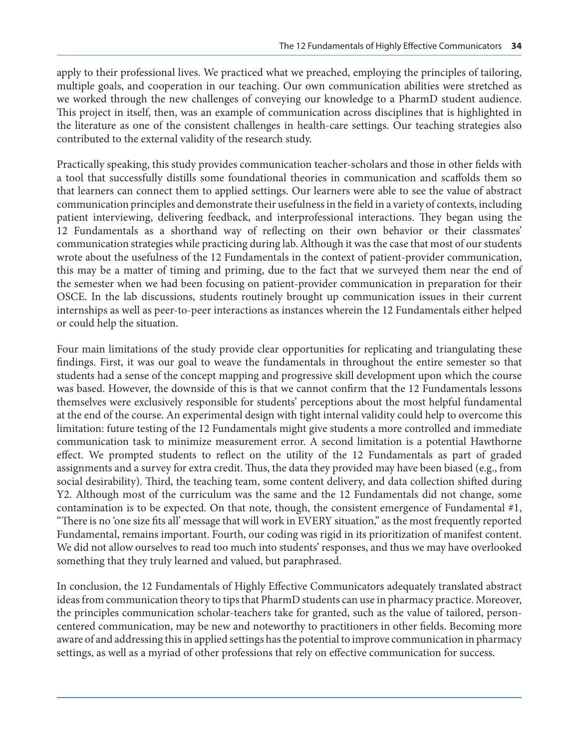apply to their professional lives. We practiced what we preached, employing the principles of tailoring, multiple goals, and cooperation in our teaching. Our own communication abilities were stretched as we worked through the new challenges of conveying our knowledge to a PharmD student audience. This project in itself, then, was an example of communication across disciplines that is highlighted in the literature as one of the consistent challenges in health-care settings. Our teaching strategies also contributed to the external validity of the research study.

Practically speaking, this study provides communication teacher-scholars and those in other fields with a tool that successfully distills some foundational theories in communication and scaffolds them so that learners can connect them to applied settings. Our learners were able to see the value of abstract communication principles and demonstrate their usefulness in the field in a variety of contexts, including patient interviewing, delivering feedback, and interprofessional interactions. They began using the 12 Fundamentals as a shorthand way of reflecting on their own behavior or their classmates' communication strategies while practicing during lab. Although it was the case that most of our students wrote about the usefulness of the 12 Fundamentals in the context of patient-provider communication, this may be a matter of timing and priming, due to the fact that we surveyed them near the end of the semester when we had been focusing on patient-provider communication in preparation for their OSCE. In the lab discussions, students routinely brought up communication issues in their current internships as well as peer-to-peer interactions as instances wherein the 12 Fundamentals either helped or could help the situation.

Four main limitations of the study provide clear opportunities for replicating and triangulating these findings. First, it was our goal to weave the fundamentals in throughout the entire semester so that students had a sense of the concept mapping and progressive skill development upon which the course was based. However, the downside of this is that we cannot confirm that the 12 Fundamentals lessons themselves were exclusively responsible for students' perceptions about the most helpful fundamental at the end of the course. An experimental design with tight internal validity could help to overcome this limitation: future testing of the 12 Fundamentals might give students a more controlled and immediate communication task to minimize measurement error. A second limitation is a potential Hawthorne effect. We prompted students to reflect on the utility of the 12 Fundamentals as part of graded assignments and a survey for extra credit. Thus, the data they provided may have been biased (e.g., from social desirability). Third, the teaching team, some content delivery, and data collection shifted during Y2. Although most of the curriculum was the same and the 12 Fundamentals did not change, some contamination is to be expected. On that note, though, the consistent emergence of Fundamental #1, "There is no 'one size fits all' message that will work in EVERY situation," as the most frequently reported Fundamental, remains important. Fourth, our coding was rigid in its prioritization of manifest content. We did not allow ourselves to read too much into students' responses, and thus we may have overlooked something that they truly learned and valued, but paraphrased.

In conclusion, the 12 Fundamentals of Highly Effective Communicators adequately translated abstract ideas from communication theory to tips that PharmD students can use in pharmacy practice. Moreover, the principles communication scholar-teachers take for granted, such as the value of tailored, personcentered communication, may be new and noteworthy to practitioners in other fields. Becoming more aware of and addressing this in applied settings has the potential to improve communication in pharmacy settings, as well as a myriad of other professions that rely on effective communication for success.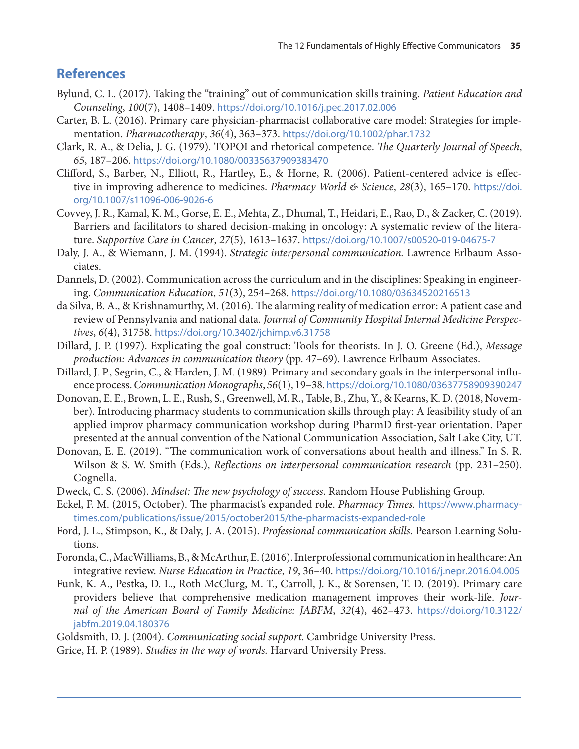#### <span id="page-14-0"></span>**References**

- Bylund, C. L. (2017). Taking the "training" out of communication skills training. *Patient Education and Counseling*, *100*(7), 1408–1409. <https://doi.org/10.1016/j.pec.2017.02.006>
- Carter, B. L. (2016). Primary care physician-pharmacist collaborative care model: Strategies for implementation. *Pharmacotherapy*, *36*(4), 363–373. <https://doi.org/10.1002/phar.1732>
- Clark, R. A., & Delia, J. G. (1979). TOPOI and rhetorical competence. *The Quarterly Journal of Speech*, *65*, 187–206. <https://doi.org/10.1080/00335637909383470>
- Clifford, S., Barber, N., Elliott, R., Hartley, E., & Horne, R. (2006). Patient-centered advice is effective in improving adherence to medicines. *Pharmacy World & Science*, *28*(3), 165–170. [https://doi.](https://doi.org/10.1007/s11096-006-9026-6) [org/10.1007/s11096-006-9026-6](https://doi.org/10.1007/s11096-006-9026-6)
- Covvey, J. R., Kamal, K. M., Gorse, E. E., Mehta, Z., Dhumal, T., Heidari, E., Rao, D., & Zacker, C. (2019). Barriers and facilitators to shared decision-making in oncology: A systematic review of the literature. *Supportive Care in Cancer*, *27*(5), 1613–1637. <https://doi.org/10.1007/s00520-019-04675-7>
- Daly, J. A., & Wiemann, J. M. (1994). *Strategic interpersonal communication.* Lawrence Erlbaum Associates.
- Dannels, D. (2002). Communication across the curriculum and in the disciplines: Speaking in engineering. *Communication Education*, *51*(3), 254–268. <https://doi.org/10.1080/03634520216513>
- da Silva, B. A., & Krishnamurthy, M. (2016). The alarming reality of medication error: A patient case and review of Pennsylvania and national data. *Journal of Community Hospital Internal Medicine Perspectives*, *6*(4), 31758. <https://doi.org/10.3402/jchimp.v6.31758>
- Dillard, J. P. (1997). Explicating the goal construct: Tools for theorists. In J. O. Greene (Ed.), *Message production: Advances in communication theory* (pp. 47–69). Lawrence Erlbaum Associates.
- Dillard, J. P., Segrin, C., & Harden, J. M. (1989). Primary and secondary goals in the interpersonal influence process. *Communication Monographs*, *56*(1), 19–38. <https://doi.org/10.1080/03637758909390247>
- Donovan, E. E., Brown, L. E., Rush, S., Greenwell, M. R., Table, B., Zhu, Y., & Kearns, K. D. (2018, November). Introducing pharmacy students to communication skills through play: A feasibility study of an applied improv pharmacy communication workshop during PharmD first-year orientation. Paper presented at the annual convention of the National Communication Association, Salt Lake City, UT.
- Donovan, E. E. (2019). "The communication work of conversations about health and illness." In S. R. Wilson & S. W. Smith (Eds.), *Reflections on interpersonal communication research* (pp. 231–250). Cognella.
- Dweck, C. S. (2006). *Mindset: The new psychology of success*. Random House Publishing Group.
- Eckel, F. M. (2015, October). The pharmacist's expanded role. *Pharmacy Times.* [https://www.pharmacy](https://www.pharmacytimes.com/publications/issue/2015/october2015/the-pharmacists-expanded-role)[times.com/publications/issue/2015/october2015/the-pharmacists-expanded-role](https://www.pharmacytimes.com/publications/issue/2015/october2015/the-pharmacists-expanded-role)
- Ford, J. L., Stimpson, K., & Daly, J. A. (2015). *Professional communication skills.* Pearson Learning Solutions.
- Foronda, C., MacWilliams, B., & McArthur, E. (2016). Interprofessional communication in healthcare: An integrative review. *Nurse Education in Practice*, *19*, 36–40. <https://doi.org/10.1016/j.nepr.2016.04.005>
- Funk, K. A., Pestka, D. L., Roth McClurg, M. T., Carroll, J. K., & Sorensen, T. D. (2019). Primary care providers believe that comprehensive medication management improves their work-life. *Journal of the American Board of Family Medicine: JABFM*, *32*(4), 462–473. [https://doi.org/10.3122/](https://doi.org/10.3122/jabfm.2019.04.180376) [jabfm.2019.04.180376](https://doi.org/10.3122/jabfm.2019.04.180376)
- Goldsmith, D. J. (2004). *Communicating social support*. Cambridge University Press.
- Grice, H. P. (1989). *Studies in the way of words.* Harvard University Press.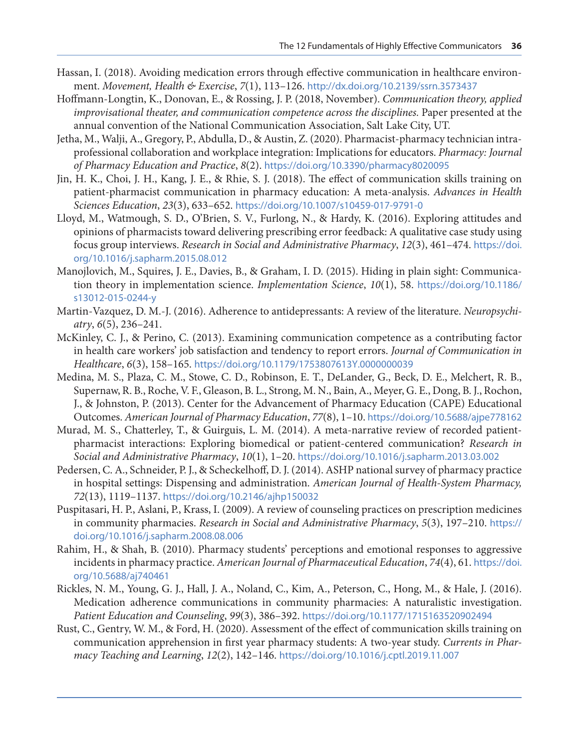- <span id="page-15-0"></span>Hassan, I. (2018). Avoiding medication errors through effective communication in healthcare environment. *Movement, Health & Exercise*, *7*(1), 113–126. [http://dx.doi.org/10.2139/ssrn.3573437](https://dx.doi.org/10.2139/ssrn.3573437)
- Hoffmann-Longtin, K., Donovan, E., & Rossing, J. P. (2018, November). *Communication theory, applied improvisational theater, and communication competence across the disciplines.* Paper presented at the annual convention of the National Communication Association, Salt Lake City, UT.
- Jetha, M., Walji, A., Gregory, P., Abdulla, D., & Austin, Z. (2020). Pharmacist-pharmacy technician intraprofessional collaboration and workplace integration: Implications for educators. *Pharmacy: Journal of Pharmacy Education and Practice*, *8*(2). <https://doi.org/10.3390/pharmacy8020095>
- Jin, H. K., Choi, J. H., Kang, J. E., & Rhie, S. J. (2018). The effect of communication skills training on patient-pharmacist communication in pharmacy education: A meta-analysis. *Advances in Health Sciences Education*, *23*(3), 633–652. <https://doi.org/10.1007/s10459-017-9791-0>
- Lloyd, M., Watmough, S. D., O'Brien, S. V., Furlong, N., & Hardy, K. (2016). Exploring attitudes and opinions of pharmacists toward delivering prescribing error feedback: A qualitative case study using focus group interviews. *Research in Social and Administrative Pharmacy*, *12*(3), 461–474. [https://doi.](https://doi.org/10.1016/j.sapharm.2015.08.012) [org/10.1016/j.sapharm.2015.08.012](https://doi.org/10.1016/j.sapharm.2015.08.012)
- Manojlovich, M., Squires, J. E., Davies, B., & Graham, I. D. (2015). Hiding in plain sight: Communication theory in implementation science. *Implementation Science*, *10*(1), 58. [https://doi.org/10.1186/](https://doi.org/10.1186/s13012-015-0244-y) [s13012-015-0244-y](https://doi.org/10.1186/s13012-015-0244-y)
- Martin-Vazquez, D. M.-J. (2016). Adherence to antidepressants: A review of the literature. *Neuropsychiatry*, *6*(5), 236–241.
- McKinley, C. J., & Perino, C. (2013). Examining communication competence as a contributing factor in health care workers' job satisfaction and tendency to report errors. *Journal of Communication in Healthcare*, *6*(3), 158–165. <https://doi.org/10.1179/1753807613Y.0000000039>
- Medina, M. S., Plaza, C. M., Stowe, C. D., Robinson, E. T., DeLander, G., Beck, D. E., Melchert, R. B., Supernaw, R. B., Roche, V. F., Gleason, B. L., Strong, M. N., Bain, A., Meyer, G. E., Dong, B. J., Rochon, J., & Johnston, P. (2013). Center for the Advancement of Pharmacy Education (CAPE) Educational Outcomes. *American Journal of Pharmacy Education*, *77*(8), 1–10. <https://doi.org/10.5688/ajpe778162>
- Murad, M. S., Chatterley, T., & Guirguis, L. M. (2014). A meta-narrative review of recorded patientpharmacist interactions: Exploring biomedical or patient-centered communication? *Research in Social and Administrative Pharmacy*, *10*(1), 1–20. <https://doi.org/10.1016/j.sapharm.2013.03.002>
- Pedersen, C. A., Schneider, P. J., & Scheckelhoff, D. J. (2014). ASHP national survey of pharmacy practice in hospital settings: Dispensing and administration. *American Journal of Health-System Pharmacy, 72*(13), 1119–1137. <https://doi.org/10.2146/ajhp150032>
- Puspitasari, H. P., Aslani, P., Krass, I. (2009). A review of counseling practices on prescription medicines in community pharmacies. *Research in Social and Administrative Pharmacy*, *5*(3), 197–210. [https://](https://doi.org/10.1016/j.sapharm.2008.08.006) [doi.org/10.1016/j.sapharm.2008.08.006](https://doi.org/10.1016/j.sapharm.2008.08.006)
- Rahim, H., & Shah, B. (2010). Pharmacy students' perceptions and emotional responses to aggressive incidents in pharmacy practice. *American Journal of Pharmaceutical Education*, *74*(4), 61. [https://doi.](https://doi.org/10.5688/aj740461) [org/10.5688/aj740461](https://doi.org/10.5688/aj740461)
- Rickles, N. M., Young, G. J., Hall, J. A., Noland, C., Kim, A., Peterson, C., Hong, M., & Hale, J. (2016). Medication adherence communications in community pharmacies: A naturalistic investigation. *Patient Education and Counseling*, *99*(3), 386–392. <https://doi.org/10.1177/1715163520902494>
- Rust, C., Gentry, W. M., & Ford, H. (2020). Assessment of the effect of communication skills training on communication apprehension in first year pharmacy students: A two-year study. *Currents in Pharmacy Teaching and Learning*, *12*(2), 142–146. <https://doi.org/10.1016/j.cptl.2019.11.007>